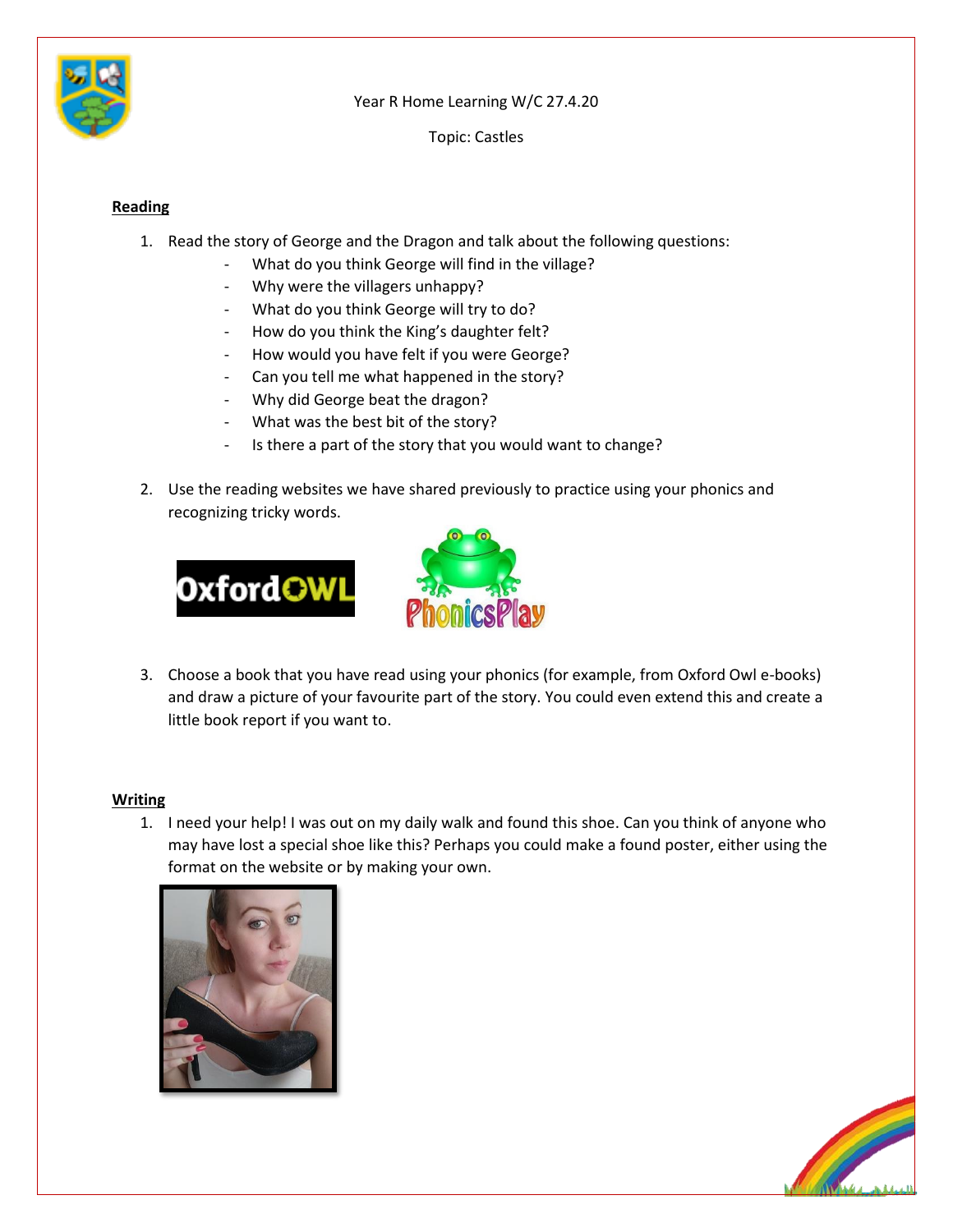

Year R Home Learning W/C 27.4.20

Topic: Castles

## **Reading**

- 1. Read the story of George and the Dragon and talk about the following questions:
	- What do you think George will find in the village?
	- Why were the villagers unhappy?
	- What do you think George will try to do?
	- How do you think the King's daughter felt?
	- How would you have felt if you were George?
	- Can you tell me what happened in the story?
	- Why did George beat the dragon?
	- What was the best bit of the story?
	- Is there a part of the story that you would want to change?
- 2. Use the reading websites we have shared previously to practice using your phonics and recognizing tricky words.





3. Choose a book that you have read using your phonics (for example, from Oxford Owl e-books) and draw a picture of your favourite part of the story. You could even extend this and create a little book report if you want to.

## **Writing**

1. I need your help! I was out on my daily walk and found this shoe. Can you think of anyone who may have lost a special shoe like this? Perhaps you could make a found poster, either using the format on the website or by making your own.